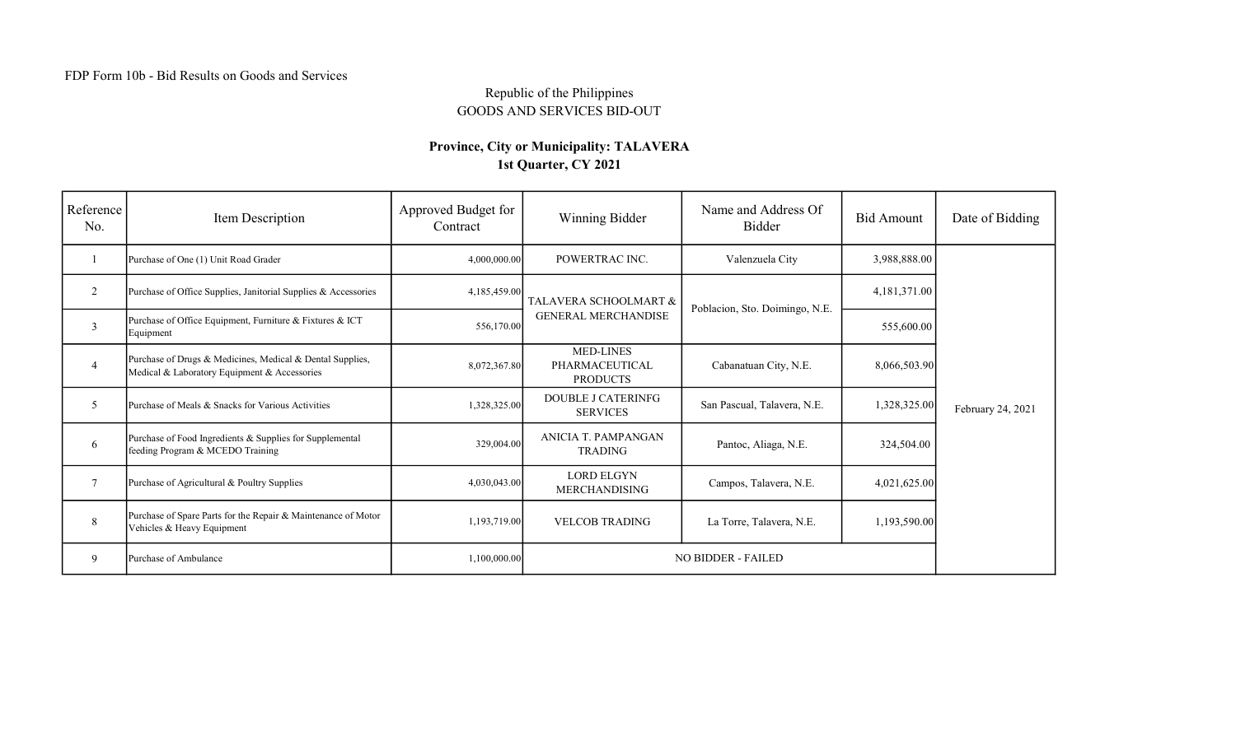## Republic of the Philippines GOODS AND SERVICES BID-OUT

## Province, City or Municipality: TALAVERA 1st Quarter, CY 2021

| Reference<br>No. | Item Description                                                                                          | Approved Budget for<br>Contract | Winning Bidder                                        | Name and Address Of<br>Bidder  | <b>Bid Amount</b> | Date of Bidding   |
|------------------|-----------------------------------------------------------------------------------------------------------|---------------------------------|-------------------------------------------------------|--------------------------------|-------------------|-------------------|
|                  | Purchase of One (1) Unit Road Grader                                                                      | 4,000,000.00                    | POWERTRAC INC.                                        | Valenzuela City                | 3,988,888.00      | February 24, 2021 |
| 2                | Purchase of Office Supplies, Janitorial Supplies & Accessories                                            | 4,185,459.00                    | TALAVERA SCHOOLMART &<br><b>GENERAL MERCHANDISE</b>   | Poblacion, Sto. Doimingo, N.E. | 4,181,371.00      |                   |
| $\overline{3}$   | Purchase of Office Equipment, Furniture & Fixtures & ICT<br>Equipment                                     | 556,170.00                      |                                                       |                                | 555,600.00        |                   |
| $\overline{4}$   | Purchase of Drugs & Medicines, Medical & Dental Supplies,<br>Medical & Laboratory Equipment & Accessories | 8,072,367.80                    | <b>MED-LINES</b><br>PHARMACEUTICAL<br><b>PRODUCTS</b> | Cabanatuan City, N.E.          | 8,066,503.90      |                   |
| 5                | Purchase of Meals & Snacks for Various Activities                                                         | 1,328,325.00                    | <b>DOUBLE J CATERINFG</b><br><b>SERVICES</b>          | San Pascual, Talavera, N.E.    | 1,328,325.00      |                   |
| 6                | Purchase of Food Ingredients & Supplies for Supplemental<br>feeding Program & MCEDO Training              | 329,004.00                      | <b>ANICIA T. PAMPANGAN</b><br><b>TRADING</b>          | Pantoc, Aliaga, N.E.           | 324,504.00        |                   |
| $\overline{7}$   | Purchase of Agricultural & Poultry Supplies                                                               | 4,030,043.00                    | <b>LORD ELGYN</b><br><b>MERCHANDISING</b>             | Campos, Talavera, N.E.         | 4,021,625.00      |                   |
| 8                | Purchase of Spare Parts for the Repair & Maintenance of Motor<br>Vehicles & Heavy Equipment               | 1,193,719.00                    | <b>VELCOB TRADING</b>                                 | La Torre, Talavera, N.E.       | 1,193,590.00      |                   |
| 9                | Purchase of Ambulance                                                                                     | 1,100,000.00                    | NO BIDDER - FAILED                                    |                                |                   |                   |